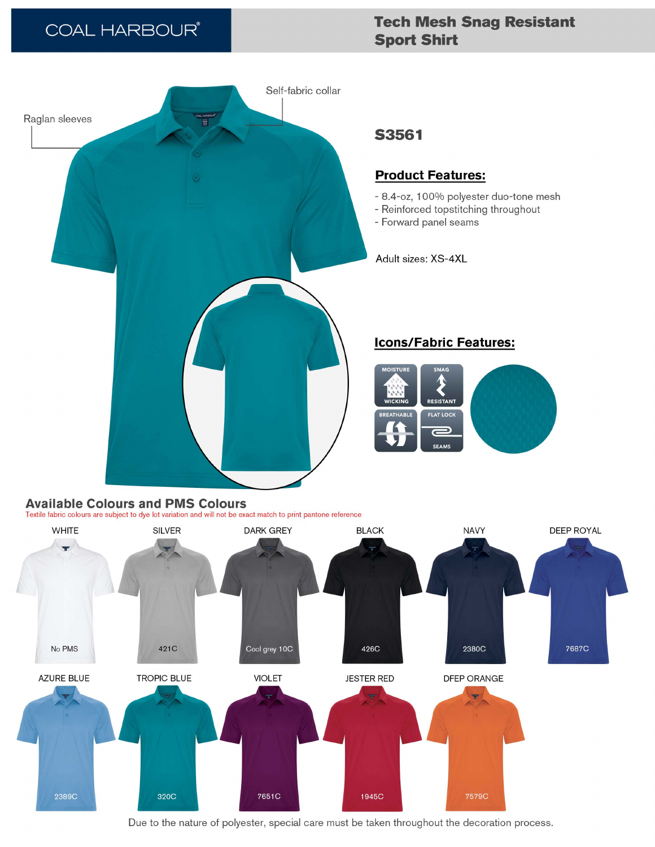# **COAL HARBOUR®**

# **Tech Mesh Snag Resistant Sport Shirt**



## **Available Colours and PMS Colours**

Textile fabric colours are subject to dye lot variation and will not be exact match to print pantone reference



Due to the nature of polyester, special care must be taken throughout the decoration process.